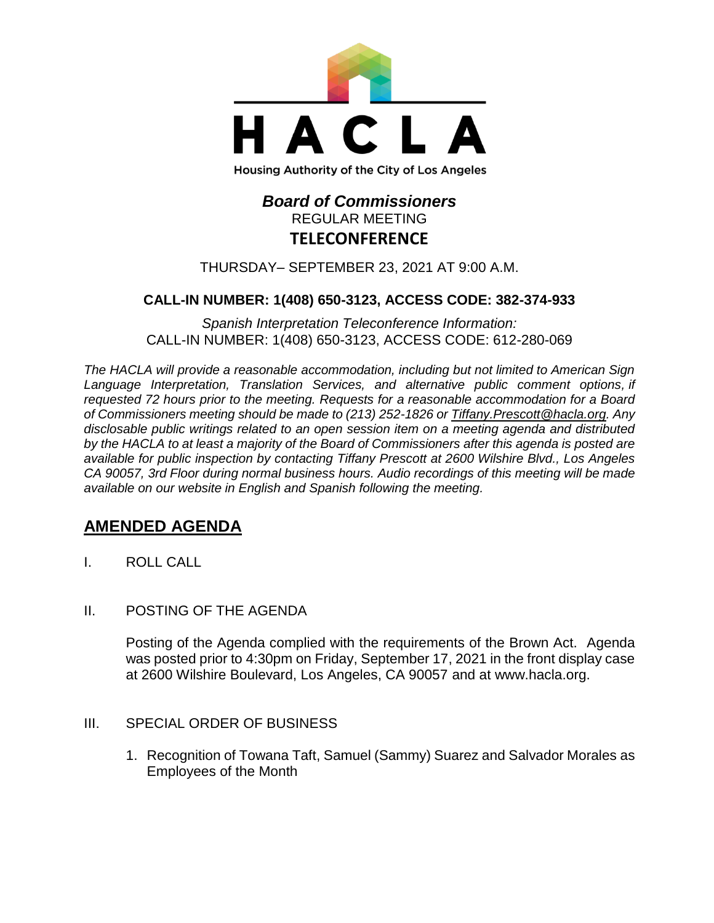

# *Board of Commissioners* REGULAR MEETING **TELECONFERENCE**

### THURSDAY– SEPTEMBER 23, 2021 AT 9:00 A.M.

## **CALL-IN NUMBER: 1(408) 650-3123, ACCESS CODE: 382-374-933**

*Spanish Interpretation Teleconference Information:* CALL-IN NUMBER: 1(408) 650-3123, ACCESS CODE: 612-280-069

*The HACLA will provide a reasonable accommodation, including but not limited to American Sign Language Interpretation, Translation Services, and alternative public comment options, if requested 72 hours prior to the meeting. Requests for a reasonable accommodation for a Board of Commissioners meeting should be made to (213) 252-1826 or Tiffany.Prescott@hacla.org. Any disclosable public writings related to an open session item on a meeting agenda and distributed by the HACLA to at least a majority of the Board of Commissioners after this agenda is posted are available for public inspection by contacting Tiffany Prescott at 2600 Wilshire Blvd., Los Angeles CA 90057, 3rd Floor during normal business hours. Audio recordings of this meeting will be made available on our website in English and Spanish following the meeting.*

## **AMENDED AGENDA**

- I. ROLL CALL
- II. POSTING OF THE AGENDA

Posting of the Agenda complied with the requirements of the Brown Act. Agenda was posted prior to 4:30pm on Friday, September 17, 2021 in the front display case at 2600 Wilshire Boulevard, Los Angeles, CA 90057 and at [www.hacla.org.](http://www.hacla.org/)

#### III. SPECIAL ORDER OF BUSINESS

1. Recognition of Towana Taft, Samuel (Sammy) Suarez and Salvador Morales as Employees of the Month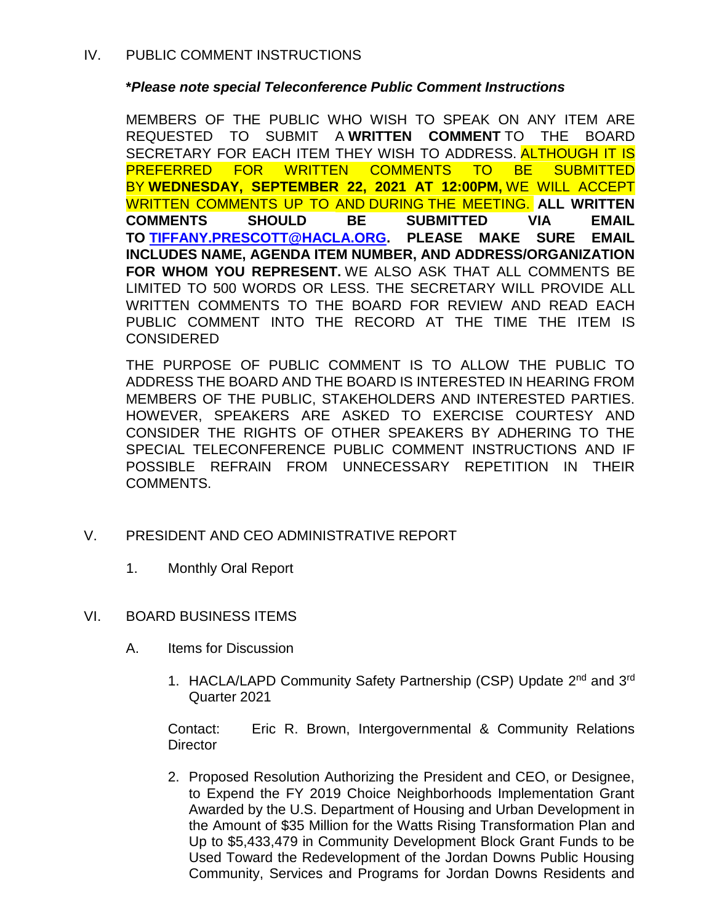## **\****Please note special Teleconference Public Comment Instructions*

MEMBERS OF THE PUBLIC WHO WISH TO SPEAK ON ANY ITEM ARE REQUESTED TO SUBMIT A **WRITTEN COMMENT** TO THE BOARD SECRETARY FOR EACH ITEM THEY WISH TO ADDRESS. ALTHOUGH IT IS PREFERRED FOR WRITTEN COMMENTS TO BE SUBMITTED BY **WEDNESDAY, SEPTEMBER 22, 2021 AT 12:00PM,** WE WILL ACCEPT WRITTEN COMMENTS UP TO AND DURING THE MEETING. **ALL WRITTEN COMMENTS SHOULD BE SUBMITTED VIA EMAIL TO [TIFFANY.PRESCOTT@HACLA.ORG.](mailto:TIFFANY.PRESCOTT@HACLA.ORG) PLEASE MAKE SURE EMAIL INCLUDES NAME, AGENDA ITEM NUMBER, AND ADDRESS/ORGANIZATION FOR WHOM YOU REPRESENT.** WE ALSO ASK THAT ALL COMMENTS BE LIMITED TO 500 WORDS OR LESS. THE SECRETARY WILL PROVIDE ALL WRITTEN COMMENTS TO THE BOARD FOR REVIEW AND READ EACH PUBLIC COMMENT INTO THE RECORD AT THE TIME THE ITEM IS **CONSIDERED** 

THE PURPOSE OF PUBLIC COMMENT IS TO ALLOW THE PUBLIC TO ADDRESS THE BOARD AND THE BOARD IS INTERESTED IN HEARING FROM MEMBERS OF THE PUBLIC, STAKEHOLDERS AND INTERESTED PARTIES. HOWEVER, SPEAKERS ARE ASKED TO EXERCISE COURTESY AND CONSIDER THE RIGHTS OF OTHER SPEAKERS BY ADHERING TO THE SPECIAL TELECONFERENCE PUBLIC COMMENT INSTRUCTIONS AND IF POSSIBLE REFRAIN FROM UNNECESSARY REPETITION IN THEIR COMMENTS.

- V. PRESIDENT AND CEO ADMINISTRATIVE REPORT
	- 1. Monthly Oral Report

### VI. BOARD BUSINESS ITEMS

- A. Items for Discussion
	- 1. HACLA/LAPD Community Safety Partnership (CSP) Update 2<sup>nd</sup> and 3<sup>rd</sup> Quarter 2021

Contact: Eric R. Brown, Intergovernmental & Community Relations **Director** 

2. Proposed Resolution Authorizing the President and CEO, or Designee, to Expend the FY 2019 Choice Neighborhoods Implementation Grant Awarded by the U.S. Department of Housing and Urban Development in the Amount of \$35 Million for the Watts Rising Transformation Plan and Up to \$5,433,479 in Community Development Block Grant Funds to be Used Toward the Redevelopment of the Jordan Downs Public Housing Community, Services and Programs for Jordan Downs Residents and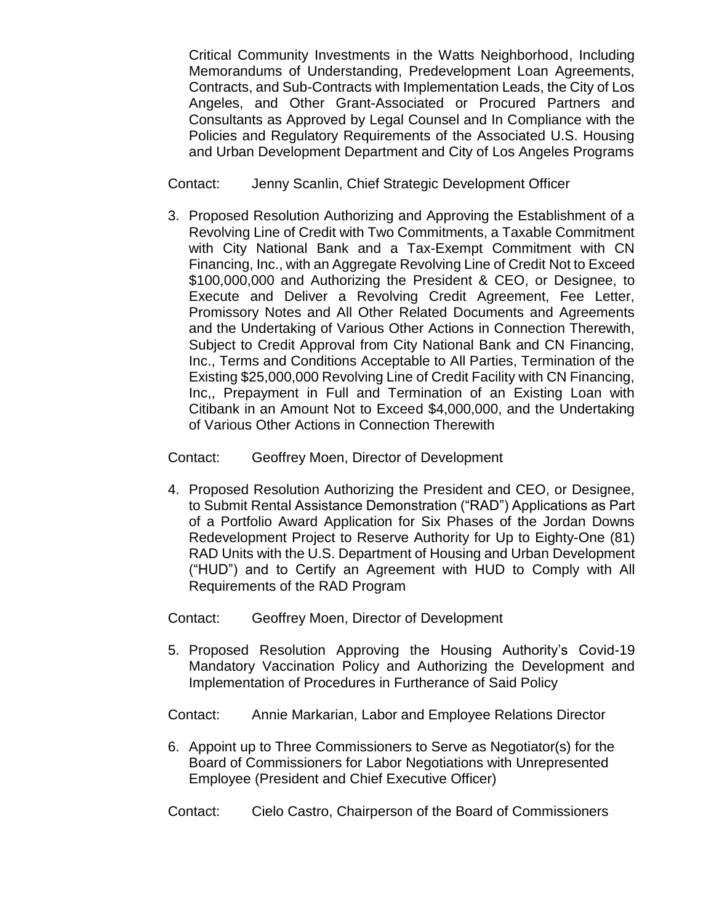Critical Community Investments in the Watts Neighborhood, Including Memorandums of Understanding, Predevelopment Loan Agreements, Contracts, and Sub-Contracts with Implementation Leads, the City of Los Angeles, and Other Grant-Associated or Procured Partners and Consultants as Approved by Legal Counsel and In Compliance with the Policies and Regulatory Requirements of the Associated U.S. Housing and Urban Development Department and City of Los Angeles Programs

Contact: Jenny Scanlin, Chief Strategic Development Officer

3. Proposed Resolution Authorizing and Approving the Establishment of a Revolving Line of Credit with Two Commitments, a Taxable Commitment with City National Bank and a Tax-Exempt Commitment with CN Financing, Inc., with an Aggregate Revolving Line of Credit Not to Exceed \$100,000,000 and Authorizing the President & CEO, or Designee, to Execute and Deliver a Revolving Credit Agreement, Fee Letter, Promissory Notes and All Other Related Documents and Agreements and the Undertaking of Various Other Actions in Connection Therewith, Subject to Credit Approval from City National Bank and CN Financing, Inc., Terms and Conditions Acceptable to All Parties, Termination of the Existing \$25,000,000 Revolving Line of Credit Facility with CN Financing, Inc,, Prepayment in Full and Termination of an Existing Loan with Citibank in an Amount Not to Exceed \$4,000,000, and the Undertaking of Various Other Actions in Connection Therewith

Contact: Geoffrey Moen, Director of Development

4. Proposed Resolution Authorizing the President and CEO, or Designee, to Submit Rental Assistance Demonstration ("RAD") Applications as Part of a Portfolio Award Application for Six Phases of the Jordan Downs Redevelopment Project to Reserve Authority for Up to Eighty-One (81) RAD Units with the U.S. Department of Housing and Urban Development ("HUD") and to Certify an Agreement with HUD to Comply with All Requirements of the RAD Program

Contact: Geoffrey Moen, Director of Development

- 5. Proposed Resolution Approving the Housing Authority's Covid-19 Mandatory Vaccination Policy and Authorizing the Development and Implementation of Procedures in Furtherance of Said Policy
- Contact: Annie Markarian, Labor and Employee Relations Director
- 6. Appoint up to Three Commissioners to Serve as Negotiator(s) for the Board of Commissioners for Labor Negotiations with Unrepresented Employee (President and Chief Executive Officer)
- Contact: Cielo Castro, Chairperson of the Board of Commissioners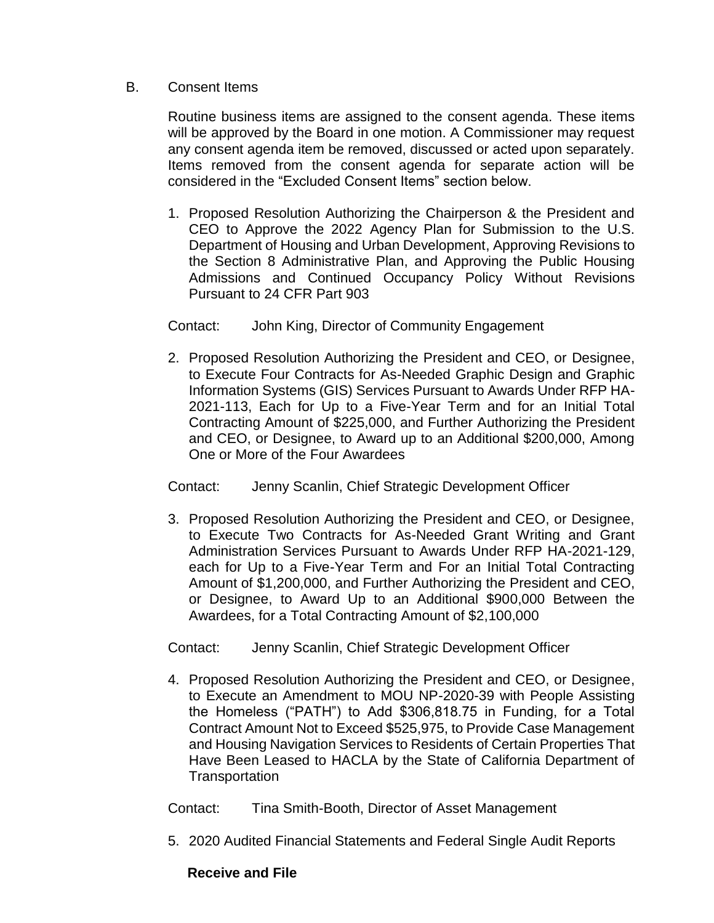### B. Consent Items

Routine business items are assigned to the consent agenda. These items will be approved by the Board in one motion. A Commissioner may request any consent agenda item be removed, discussed or acted upon separately. Items removed from the consent agenda for separate action will be considered in the "Excluded Consent Items" section below.

1. Proposed Resolution Authorizing the Chairperson & the President and CEO to Approve the 2022 Agency Plan for Submission to the U.S. Department of Housing and Urban Development, Approving Revisions to the Section 8 Administrative Plan, and Approving the Public Housing Admissions and Continued Occupancy Policy Without Revisions Pursuant to 24 CFR Part 903

Contact: John King, Director of Community Engagement

2. Proposed Resolution Authorizing the President and CEO, or Designee, to Execute Four Contracts for As-Needed Graphic Design and Graphic Information Systems (GIS) Services Pursuant to Awards Under RFP HA-2021-113, Each for Up to a Five-Year Term and for an Initial Total Contracting Amount of \$225,000, and Further Authorizing the President and CEO, or Designee, to Award up to an Additional \$200,000, Among One or More of the Four Awardees

Contact: Jenny Scanlin, Chief Strategic Development Officer

3. Proposed Resolution Authorizing the President and CEO, or Designee, to Execute Two Contracts for As-Needed Grant Writing and Grant Administration Services Pursuant to Awards Under RFP HA-2021-129, each for Up to a Five-Year Term and For an Initial Total Contracting Amount of \$1,200,000, and Further Authorizing the President and CEO, or Designee, to Award Up to an Additional \$900,000 Between the Awardees, for a Total Contracting Amount of \$2,100,000

Contact: Jenny Scanlin, Chief Strategic Development Officer

4. Proposed Resolution Authorizing the President and CEO, or Designee, to Execute an Amendment to MOU NP-2020-39 with People Assisting the Homeless ("PATH") to Add \$306,818.75 in Funding, for a Total Contract Amount Not to Exceed \$525,975, to Provide Case Management and Housing Navigation Services to Residents of Certain Properties That Have Been Leased to HACLA by the State of California Department of **Transportation** 

Contact: Tina Smith-Booth, Director of Asset Management

5. 2020 Audited Financial Statements and Federal Single Audit Reports

### **Receive and File**